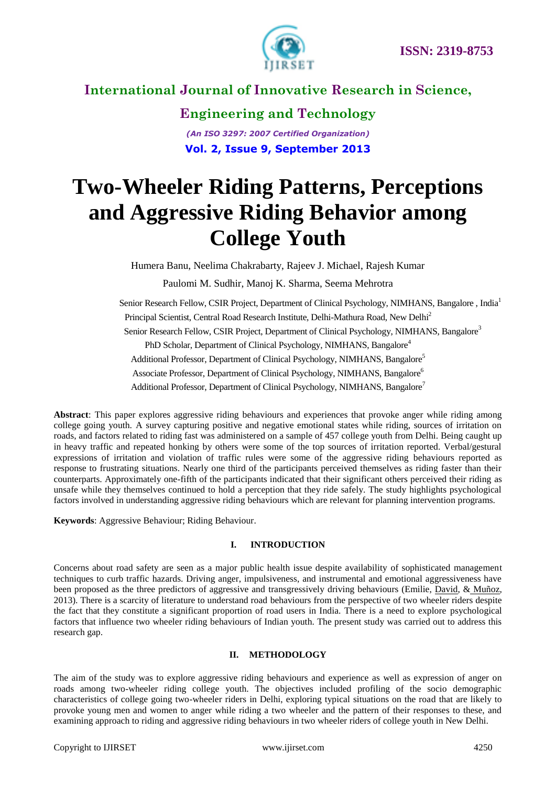

**Engineering and Technology** *(An ISO 3297: 2007 Certified Organization)* **Vol. 2, Issue 9, September 2013**

# **Two-Wheeler Riding Patterns, Perceptions and Aggressive Riding Behavior among College Youth**

Humera Banu, Neelima Chakrabarty, Rajeev J. Michael, Rajesh Kumar

Paulomi M. Sudhir, Manoj K. Sharma, Seema Mehrotra

 Senior Research Fellow, CSIR Project, Department of Clinical Psychology, NIMHANS, Bangalore , India<sup>1</sup> Principal Scientist, Central Road Research Institute, Delhi-Mathura Road, New Delhi<sup>2</sup> Senior Research Fellow, CSIR Project, Department of Clinical Psychology, NIMHANS, Bangalore<sup>3</sup> PhD Scholar, Department of Clinical Psychology, NIMHANS, Bangalore<sup>4</sup> Additional Professor, Department of Clinical Psychology, NIMHANS, Bangalore<sup>5</sup> Associate Professor, Department of Clinical Psychology, NIMHANS, Bangalore<sup>6</sup> Additional Professor, Department of Clinical Psychology, NIMHANS, Bangalore<sup>7</sup>

**Abstract**: This paper explores aggressive riding behaviours and experiences that provoke anger while riding among college going youth. A survey capturing positive and negative emotional states while riding, sources of irritation on roads, and factors related to riding fast was administered on a sample of 457 college youth from Delhi. Being caught up in heavy traffic and repeated honking by others were some of the top sources of irritation reported. Verbal/gestural expressions of irritation and violation of traffic rules were some of the aggressive riding behaviours reported as response to frustrating situations. Nearly one third of the participants perceived themselves as riding faster than their counterparts. Approximately one-fifth of the participants indicated that their significant others perceived their riding as unsafe while they themselves continued to hold a perception that they ride safely. The study highlights psychological factors involved in understanding aggressive riding behaviours which are relevant for planning intervention programs.

**Keywords**: Aggressive Behaviour; Riding Behaviour.

#### **I. INTRODUCTION**

Concerns about road safety are seen as a major public health issue despite availability of sophisticated management techniques to curb traffic hazards. Driving anger, impulsiveness, and instrumental and emotional aggressiveness have been proposed as the three predictors of aggressive and transgressively driving behaviours (Emilie, [David,](javascript:__doLinkPostBack() & [Muñoz,](javascript:__doLinkPostBack() 2013). There is a scarcity of literature to understand road behaviours from the perspective of two wheeler riders despite the fact that they constitute a significant proportion of road users in India. There is a need to explore psychological factors that influence two wheeler riding behaviours of Indian youth. The present study was carried out to address this research gap.

#### **II. METHODOLOGY**

The aim of the study was to explore aggressive riding behaviours and experience as well as expression of anger on roads among two-wheeler riding college youth. The objectives included profiling of the socio demographic characteristics of college going two-wheeler riders in Delhi, exploring typical situations on the road that are likely to provoke young men and women to anger while riding a two wheeler and the pattern of their responses to these, and examining approach to riding and aggressive riding behaviours in two wheeler riders of college youth in New Delhi.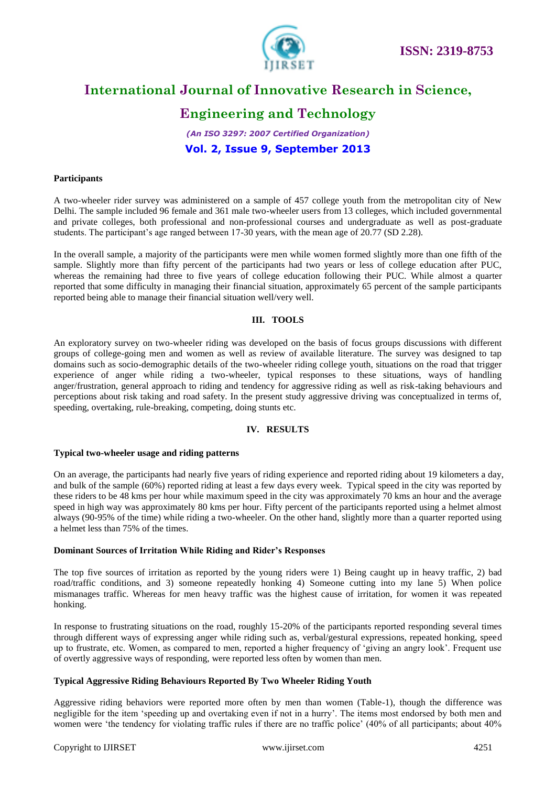

### **Engineering and Technology**

*(An ISO 3297: 2007 Certified Organization)* **Vol. 2, Issue 9, September 2013**

#### **Participants**

A two-wheeler rider survey was administered on a sample of 457 college youth from the metropolitan city of New Delhi. The sample included 96 female and 361 male two-wheeler users from 13 colleges, which included governmental and private colleges, both professional and non-professional courses and undergraduate as well as post-graduate students. The participant's age ranged between 17-30 years, with the mean age of 20.77 (SD 2.28).

In the overall sample, a majority of the participants were men while women formed slightly more than one fifth of the sample. Slightly more than fifty percent of the participants had two years or less of college education after PUC, whereas the remaining had three to five years of college education following their PUC. While almost a quarter reported that some difficulty in managing their financial situation, approximately 65 percent of the sample participants reported being able to manage their financial situation well/very well.

#### **III. TOOLS**

An exploratory survey on two-wheeler riding was developed on the basis of focus groups discussions with different groups of college-going men and women as well as review of available literature. The survey was designed to tap domains such as socio-demographic details of the two-wheeler riding college youth, situations on the road that trigger experience of anger while riding a two-wheeler, typical responses to these situations, ways of handling anger/frustration, general approach to riding and tendency for aggressive riding as well as risk-taking behaviours and perceptions about risk taking and road safety. In the present study aggressive driving was conceptualized in terms of, speeding, overtaking, rule-breaking, competing, doing stunts etc.

#### **IV. RESULTS**

#### **Typical two-wheeler usage and riding patterns**

On an average, the participants had nearly five years of riding experience and reported riding about 19 kilometers a day, and bulk of the sample (60%) reported riding at least a few days every week. Typical speed in the city was reported by these riders to be 48 kms per hour while maximum speed in the city was approximately 70 kms an hour and the average speed in high way was approximately 80 kms per hour. Fifty percent of the participants reported using a helmet almost always (90-95% of the time) while riding a two-wheeler. On the other hand, slightly more than a quarter reported using a helmet less than 75% of the times.

#### **Dominant Sources of Irritation While Riding and Rider's Responses**

The top five sources of irritation as reported by the young riders were 1) Being caught up in heavy traffic, 2) bad road/traffic conditions, and 3) someone repeatedly honking 4) Someone cutting into my lane 5) When police mismanages traffic. Whereas for men heavy traffic was the highest cause of irritation, for women it was repeated honking.

In response to frustrating situations on the road, roughly 15-20% of the participants reported responding several times through different ways of expressing anger while riding such as, verbal/gestural expressions, repeated honking, speed up to frustrate, etc. Women, as compared to men, reported a higher frequency of 'giving an angry look'. Frequent use of overtly aggressive ways of responding, were reported less often by women than men.

#### **Typical Aggressive Riding Behaviours Reported By Two Wheeler Riding Youth**

Aggressive riding behaviors were reported more often by men than women (Table-1), though the difference was negligible for the item 'speeding up and overtaking even if not in a hurry'. The items most endorsed by both men and women were 'the tendency for violating traffic rules if there are no traffic police' (40% of all participants; about 40%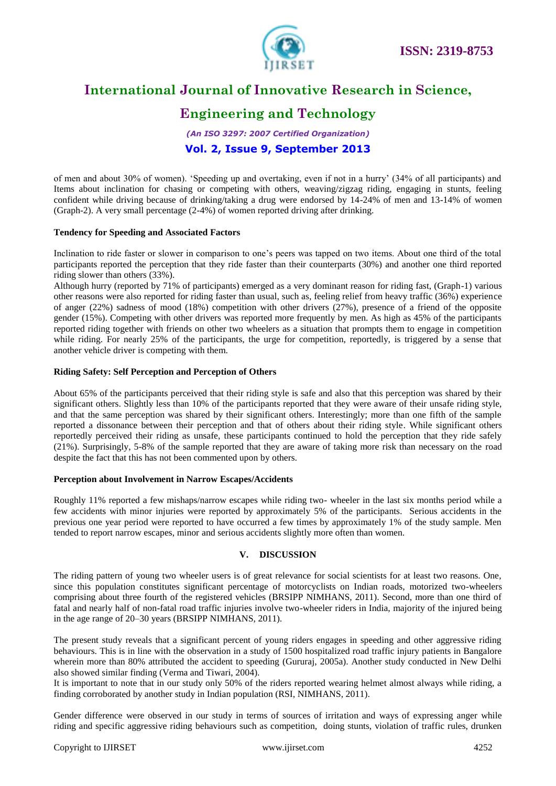

### **Engineering and Technology**

*(An ISO 3297: 2007 Certified Organization)* **Vol. 2, Issue 9, September 2013**

of men and about 30% of women). 'Speeding up and overtaking, even if not in a hurry' (34% of all participants) and Items about inclination for chasing or competing with others, weaving/zigzag riding, engaging in stunts, feeling confident while driving because of drinking/taking a drug were endorsed by 14-24% of men and 13-14% of women (Graph-2). A very small percentage (2-4%) of women reported driving after drinking.

#### **Tendency for Speeding and Associated Factors**

Inclination to ride faster or slower in comparison to one's peers was tapped on two items. About one third of the total participants reported the perception that they ride faster than their counterparts (30%) and another one third reported riding slower than others (33%).

Although hurry (reported by 71% of participants) emerged as a very dominant reason for riding fast, (Graph-1) various other reasons were also reported for riding faster than usual, such as, feeling relief from heavy traffic (36%) experience of anger (22%) sadness of mood (18%) competition with other drivers (27%), presence of a friend of the opposite gender (15%). Competing with other drivers was reported more frequently by men. As high as 45% of the participants reported riding together with friends on other two wheelers as a situation that prompts them to engage in competition while riding. For nearly 25% of the participants, the urge for competition, reportedly, is triggered by a sense that another vehicle driver is competing with them.

#### **Riding Safety: Self Perception and Perception of Others**

About 65% of the participants perceived that their riding style is safe and also that this perception was shared by their significant others. Slightly less than 10% of the participants reported that they were aware of their unsafe riding style, and that the same perception was shared by their significant others. Interestingly; more than one fifth of the sample reported a dissonance between their perception and that of others about their riding style. While significant others reportedly perceived their riding as unsafe, these participants continued to hold the perception that they ride safely (21%). Surprisingly, 5-8% of the sample reported that they are aware of taking more risk than necessary on the road despite the fact that this has not been commented upon by others.

#### **Perception about Involvement in Narrow Escapes/Accidents**

Roughly 11% reported a few mishaps/narrow escapes while riding two- wheeler in the last six months period while a few accidents with minor injuries were reported by approximately 5% of the participants. Serious accidents in the previous one year period were reported to have occurred a few times by approximately 1% of the study sample. Men tended to report narrow escapes, minor and serious accidents slightly more often than women.

#### **V. DISCUSSION**

The riding pattern of young two wheeler users is of great relevance for social scientists for at least two reasons. One, since this population constitutes significant percentage of motorcyclists on Indian roads, motorized two-wheelers comprising about three fourth of the registered vehicles (BRSIPP NIMHANS, 2011). Second, more than one third of fatal and nearly half of non-fatal road traffic injuries involve two-wheeler riders in India, majority of the injured being in the age range of 20–30 years (BRSIPP NIMHANS, 2011).

The present study reveals that a significant percent of young riders engages in speeding and other aggressive riding behaviours. This is in line with the observation in a study of 1500 hospitalized road traffic injury patients in Bangalore wherein more than 80% attributed the accident to speeding (Gururaj, 2005a). Another study conducted in New Delhi also showed similar finding (Verma and Tiwari, 2004).

It is important to note that in our study only 50% of the riders reported wearing helmet almost always while riding, a finding corroborated by another study in Indian population (RSI, NIMHANS, 2011).

Gender difference were observed in our study in terms of sources of irritation and ways of expressing anger while riding and specific aggressive riding behaviours such as competition, doing stunts, violation of traffic rules, drunken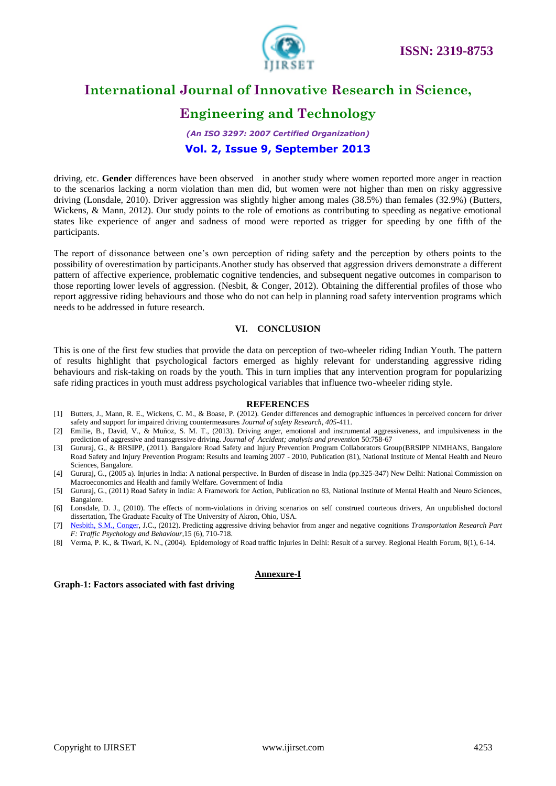

### **Engineering and Technology**

### *(An ISO 3297: 2007 Certified Organization)* **Vol. 2, Issue 9, September 2013**

driving, etc. **Gender** differences have been observed in another study where women reported more anger in reaction to the scenarios lacking a norm violation than men did, but women were not higher than men on risky aggressive driving (Lonsdale, 2010). Driver aggression was slightly higher among males (38.5%) than females (32.9%) (Butters, Wickens, & Mann, 2012). Our study points to the role of emotions as contributing to speeding as negative emotional states like experience of anger and sadness of mood were reported as trigger for speeding by one fifth of the participants.

The report of dissonance between one's own perception of riding safety and the perception by others points to the possibility of overestimation by participants.Another study has observed that aggression drivers demonstrate a different pattern of affective experience, problematic cognitive tendencies, and subsequent negative outcomes in comparison to those reporting lower levels of aggression. (Nesbit, & Conger, 2012). Obtaining the differential profiles of those who report aggressive riding behaviours and those who do not can help in planning road safety intervention programs which needs to be addressed in future research.

#### **VI. CONCLUSION**

This is one of the first few studies that provide the data on perception of two-wheeler riding Indian Youth. The pattern of results highlight that psychological factors emerged as highly relevant for understanding aggressive riding behaviours and risk-taking on roads by the youth. This in turn implies that any intervention program for popularizing safe riding practices in youth must address psychological variables that influence two-wheeler riding style.

#### **REFERENCES**

- [1] Butters, J., Mann, R. E., Wickens, C. M., & Boase, P. (2012)[. Gender differences and demographic influences in perceived concern for driver](http://www.sciencedirect.com/science/article/pii/S002243751200076X)  [safety and support for impaired driving countermeasures](http://www.sciencedirect.com/science/article/pii/S002243751200076X) *Journal of safety Research, 405*-411.
- [2] Emilie, B., David, V., & Muñoz, S. M. T., (2013). Driving anger, emotional and instrumental aggressiveness, and impulsiveness in the prediction of aggressive and transgressive driving. *Journal of Accident; analysis and prevention* 50:758-67
- [3] Gururaj, G., & BRSIPP, (2011). Bangalore Road Safety and Injury Prevention Program Collaborators Group(BRSIPP NIMHANS, Bangalore Road Safety and Injury Prevention Program: Results and learning 2007 - 2010, Publication (81), National Institute of Mental Health and Neuro Sciences, Bangalore.
- [4] Gururaj, G., (2005 a). Injuries in India: A national perspective. In Burden of disease in India (pp.325-347) New Delhi: National Commission on Macroeconomics and Health and family Welfare. Government of India
- [5] Gururaj, G., (2011) Road Safety in India: A Framework for Action, Publication no 83, National Institute of Mental Health and Neuro Sciences, Bangalore.
- [6] Lonsdale, D. J., (2010). The effects of norm-violations in driving scenarios on self construed courteous drivers, An unpublished doctoral dissertation, The Graduate Faculty of The University of Akron, Ohio, USA.
- [7] [Nesbith, S.M.,](http://www.citeulike.org/author/Nesbit:SM) [Conger,](http://www.citeulike.org/author/Nesbit:SM) J.C., (2012). Predicting aggressive driving behavior from anger and negative cognitions *Transportation Research Part F: Traffic Psychology and Behaviour*,15 (6), 710-718.
- [8] Verma, P. K., & Tiwari, K. N., (2004). Epidemology of Road traffic Injuries in Delhi: Result of a survey. Regional Health Forum, 8(1), 6-14.

#### **Annexure-I**

#### **Graph-1: Factors associated with fast driving**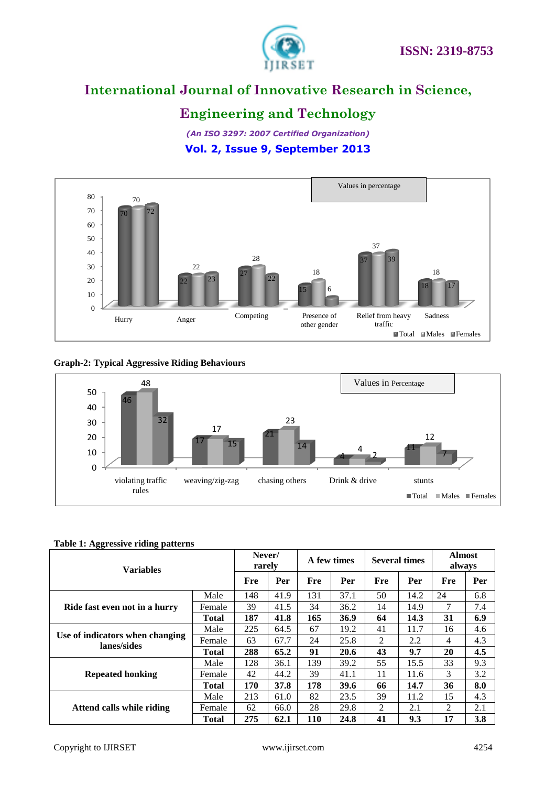



### **Engineering and Technology**

*(An ISO 3297: 2007 Certified Organization)* **Vol. 2, Issue 9, September 2013**



#### **Graph-2: Typical Aggressive Riding Behaviours**



#### **Table 1: Aggressive riding patterns**

| <b>Variables</b>                               |              | Never/<br>rarely |      | A few times |             | <b>Several times</b> |      | <b>Almost</b><br>always |     |
|------------------------------------------------|--------------|------------------|------|-------------|-------------|----------------------|------|-------------------------|-----|
|                                                |              | Fre              | Per  | Fre         | Per         | Fre                  | Per  | Fre                     | Per |
| Ride fast even not in a hurry                  | Male         | 148              | 41.9 | 131         | 37.1        | 50                   | 14.2 | 24                      | 6.8 |
|                                                | Female       | 39               | 41.5 | 34          | 36.2        | 14                   | 14.9 | 7                       | 7.4 |
|                                                | <b>Total</b> | 187              | 41.8 | 165         | <b>36.9</b> | 64                   | 14.3 | 31                      | 6.9 |
| Use of indicators when changing<br>lanes/sides | Male         | 225              | 64.5 | 67          | 19.2        | 41                   | 11.7 | 16                      | 4.6 |
|                                                | Female       | 63               | 67.7 | 24          | 25.8        | 2                    | 2.2  | 4                       | 4.3 |
|                                                | <b>Total</b> | 288              | 65.2 | 91          | 20.6        | 43                   | 9.7  | 20                      | 4.5 |
| <b>Repeated honking</b>                        | Male         | 128              | 36.1 | 139         | 39.2        | 55                   | 15.5 | 33                      | 9.3 |
|                                                | Female       | 42               | 44.2 | 39          | 41.1        | 11                   | 11.6 | 3                       | 3.2 |
|                                                | <b>Total</b> | 170              | 37.8 | 178         | 39.6        | 66                   | 14.7 | 36                      | 8.0 |
| Attend calls while riding                      | Male         | 213              | 61.0 | 82          | 23.5        | 39                   | 11.2 | 15                      | 4.3 |
|                                                | Female       | 62               | 66.0 | 28          | 29.8        | 2                    | 2.1  | $\mathfrak{D}$          | 2.1 |
|                                                | <b>Total</b> | 275              | 62.1 | <b>110</b>  | 24.8        | 41                   | 9.3  | 17                      | 3.8 |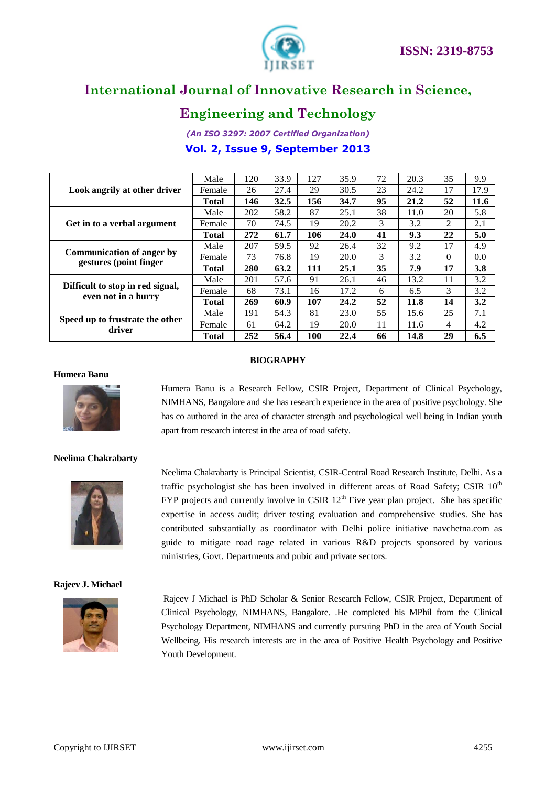

### **Engineering and Technology**

*(An ISO 3297: 2007 Certified Organization)* **Vol. 2, Issue 9, September 2013**

| Look angrily at other driver                               | Male         | 120 | 33.9 | 127        | 35.9 | 72 | 20.3 | 35       | 9.9  |
|------------------------------------------------------------|--------------|-----|------|------------|------|----|------|----------|------|
|                                                            | Female       | 26  | 27.4 | 29         | 30.5 | 23 | 24.2 | 17       | 17.9 |
|                                                            | <b>Total</b> | 146 | 32.5 | 156        | 34.7 | 95 | 21.2 | 52       | 11.6 |
| Get in to a verbal argument                                | Male         | 202 | 58.2 | 87         | 25.1 | 38 | 11.0 | 20       | 5.8  |
|                                                            | Female       | 70  | 74.5 | 19         | 20.2 | 3  | 3.2  | 2        | 2.1  |
|                                                            | <b>Total</b> | 272 | 61.7 | 106        | 24.0 | 41 | 9.3  | 22       | 5.0  |
| <b>Communication of anger by</b><br>gestures (point finger | Male         | 207 | 59.5 | 92         | 26.4 | 32 | 9.2  | 17       | 4.9  |
|                                                            | Female       | 73  | 76.8 | 19         | 20.0 | 3  | 3.2  | $\Omega$ | 0.0  |
|                                                            | <b>Total</b> | 280 | 63.2 | 111        | 25.1 | 35 | 7.9  | 17       | 3.8  |
| Difficult to stop in red signal,<br>even not in a hurry    | Male         | 201 | 57.6 | 91         | 26.1 | 46 | 13.2 | 11       | 3.2  |
|                                                            | Female       | 68  | 73.1 | 16         | 17.2 | 6  | 6.5  | 3        | 3.2  |
|                                                            | <b>Total</b> | 269 | 60.9 | 107        | 24.2 | 52 | 11.8 | 14       | 3.2  |
| Speed up to frustrate the other<br>driver                  | Male         | 191 | 54.3 | 81         | 23.0 | 55 | 15.6 | 25       | 7.1  |
|                                                            | Female       | 61  | 64.2 | 19         | 20.0 | 11 | 11.6 | 4        | 4.2  |
|                                                            | <b>Total</b> | 252 | 56.4 | <b>100</b> | 22.4 | 66 | 14.8 | 29       | 6.5  |

#### **BIOGRAPHY**

#### **Humera Banu**



Humera Banu is a Research Fellow, CSIR Project, Department of Clinical Psychology, NIMHANS, Bangalore and she has research experience in the area of positive psychology. She has co authored in the area of character strength and psychological well being in Indian youth apart from research interest in the area of road safety.

#### **Neelima Chakrabarty**



#### **Rajeev J. Michael**



Neelima Chakrabarty is Principal Scientist, CSIR-Central Road Research Institute, Delhi. As a traffic psychologist she has been involved in different areas of Road Safety; CSIR  $10<sup>th</sup>$ FYP projects and currently involve in CSIR  $12<sup>th</sup>$  Five year plan project. She has specific expertise in access audit; driver testing evaluation and comprehensive studies. She has contributed substantially as coordinator with Delhi police initiative navchetna.com as guide to mitigate road rage related in various R&D projects sponsored by various ministries, Govt. Departments and pubic and private sectors.

Rajeev J Michael is PhD Scholar & Senior Research Fellow, CSIR Project, Department of Clinical Psychology, NIMHANS, Bangalore. .He completed his MPhil from the Clinical Psychology Department, NIMHANS and currently pursuing PhD in the area of Youth Social Wellbeing. His research interests are in the area of Positive Health Psychology and Positive Youth Development.